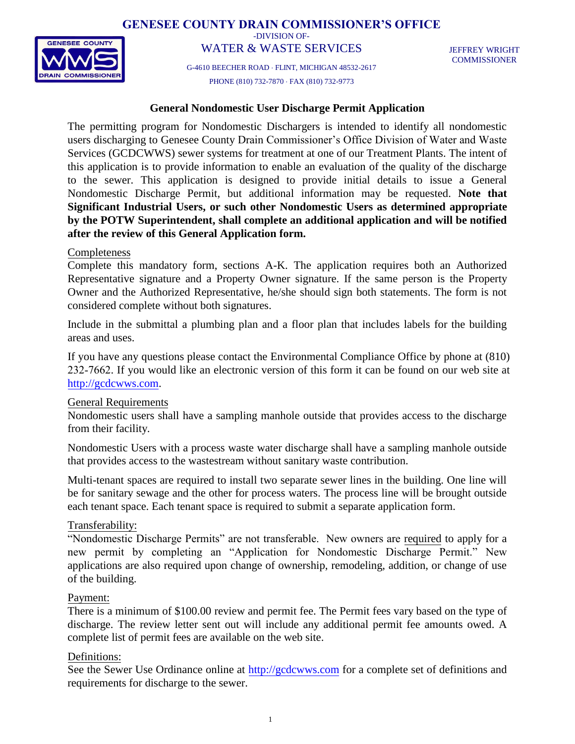**GENESEE COUNTY DRAIN COMMISSIONER'S OFFICE**



-DIVISION OF-

WATER & WASTE SERVICES G-4610 BEECHER ROAD FLINT, MICHIGAN 48532-2617

JEFFREY WRIGHT COMMISSIONER

PHONE (810) 732-7870 FAX (810) 732-9773

### **General Nondomestic User Discharge Permit Application**

The permitting program for Nondomestic Dischargers is intended to identify all nondomestic users discharging to Genesee County Drain Commissioner's Office Division of Water and Waste Services (GCDCWWS) sewer systems for treatment at one of our Treatment Plants. The intent of this application is to provide information to enable an evaluation of the quality of the discharge to the sewer. This application is designed to provide initial details to issue a General Nondomestic Discharge Permit, but additional information may be requested. **Note that Significant Industrial Users, or such other Nondomestic Users as determined appropriate by the POTW Superintendent, shall complete an additional application and will be notified after the review of this General Application form.** 

### Completeness

Complete this mandatory form, sections A-K. The application requires both an Authorized Representative signature and a Property Owner signature. If the same person is the Property Owner and the Authorized Representative, he/she should sign both statements. The form is not considered complete without both signatures.

Include in the submittal a plumbing plan and a floor plan that includes labels for the building areas and uses.

If you have any questions please contact the Environmental Compliance Office by phone at (810) 232-7662. If you would like an electronic version of this form it can be found on our web site at [http://gcdcwws.com.](http://gcdcwws.com/)

#### General Requirements

Nondomestic users shall have a sampling manhole outside that provides access to the discharge from their facility.

Nondomestic Users with a process waste water discharge shall have a sampling manhole outside that provides access to the wastestream without sanitary waste contribution.

Multi-tenant spaces are required to install two separate sewer lines in the building. One line will be for sanitary sewage and the other for process waters. The process line will be brought outside each tenant space. Each tenant space is required to submit a separate application form.

### Transferability:

"Nondomestic Discharge Permits" are not transferable. New owners are required to apply for a new permit by completing an "Application for Nondomestic Discharge Permit." New applications are also required upon change of ownership, remodeling, addition, or change of use of the building.

#### Payment:

There is a minimum of \$100.00 review and permit fee. The Permit fees vary based on the type of discharge. The review letter sent out will include any additional permit fee amounts owed. A complete list of permit fees are available on the web site.

### Definitions:

See the Sewer Use Ordinance online at [http://gcdcwws.com](http://gcdcwws.com/) for a complete set of definitions and requirements for discharge to the sewer.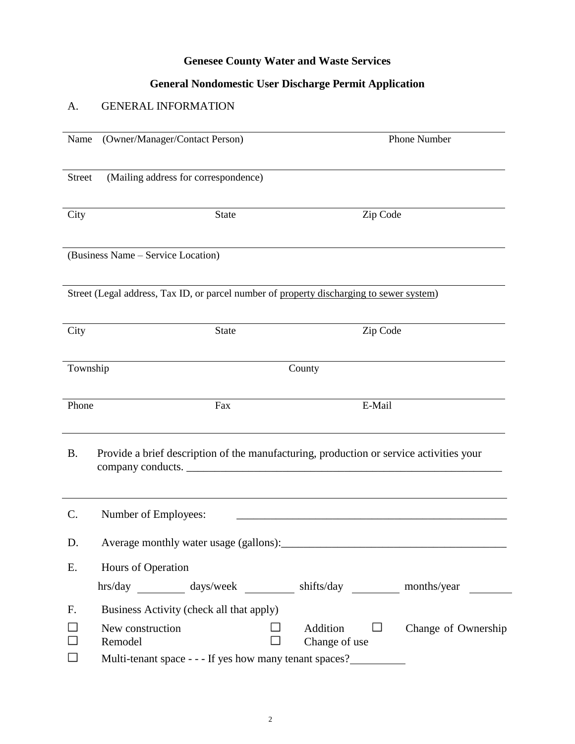## **Genesee County Water and Waste Services**

# **General Nondomestic User Discharge Permit Application**

# A. GENERAL INFORMATION

| Name          | (Owner/Manager/Contact Person)                                                           | Phone Number                                                                            |
|---------------|------------------------------------------------------------------------------------------|-----------------------------------------------------------------------------------------|
| <b>Street</b> | (Mailing address for correspondence)                                                     |                                                                                         |
| City          | <b>State</b>                                                                             | Zip Code                                                                                |
|               | (Business Name – Service Location)                                                       |                                                                                         |
|               | Street (Legal address, Tax ID, or parcel number of property discharging to sewer system) |                                                                                         |
| City          | State                                                                                    | Zip Code                                                                                |
| Township      |                                                                                          | County                                                                                  |
| Phone         | Fax                                                                                      | E-Mail                                                                                  |
| <b>B.</b>     | company conducts.                                                                        | Provide a brief description of the manufacturing, production or service activities your |
| C.            | Number of Employees:                                                                     |                                                                                         |
| D.            | Average monthly water usage (gallons):                                                   |                                                                                         |
| Ε.            | Hours of Operation                                                                       |                                                                                         |
|               | hrs/day _________ days/week _________ shifts/day _________ months/year                   |                                                                                         |
| F.            | Business Activity (check all that apply)                                                 |                                                                                         |
|               | New construction<br>Remodel<br>Multi-tenant space - - - If yes how many tenant spaces?   | Addition<br>Change of Ownership<br>⊔<br>Change of use                                   |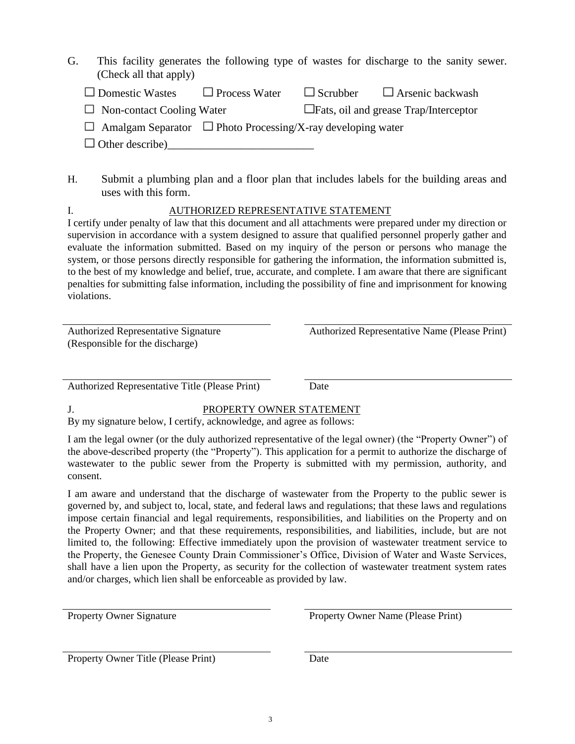G. This facility generates the following type of wastes for discharge to the sanity sewer. (Check all that apply)

| $\Box$ Domestic Wastes           | $\Box$ Process Water | $\Box$ Scrubber | $\Box$ Arsenic backwash                      |
|----------------------------------|----------------------|-----------------|----------------------------------------------|
| $\Box$ Non-contact Cooling Water |                      |                 | $\Box$ Fats, oil and grease Trap/Interceptor |
|                                  |                      |                 |                                              |

 $\Box$  Amalgam Separator  $\Box$  Photo Processing/X-ray developing water

 $\Box$  Other describe)

H. Submit a plumbing plan and a floor plan that includes labels for the building areas and uses with this form.

## I. AUTHORIZED REPRESENTATIVE STATEMENT

I certify under penalty of law that this document and all attachments were prepared under my direction or supervision in accordance with a system designed to assure that qualified personnel properly gather and evaluate the information submitted. Based on my inquiry of the person or persons who manage the system, or those persons directly responsible for gathering the information, the information submitted is, to the best of my knowledge and belief, true, accurate, and complete. I am aware that there are significant penalties for submitting false information, including the possibility of fine and imprisonment for knowing violations.

| <b>Authorized Representative Signature</b> |  |
|--------------------------------------------|--|
| (Responsible for the discharge)            |  |

Authorized Representative Name (Please Print)

Authorized Representative Title (Please Print) Date

## J. PROPERTY OWNER STATEMENT

By my signature below, I certify, acknowledge, and agree as follows:

I am the legal owner (or the duly authorized representative of the legal owner) (the "Property Owner") of the above-described property (the "Property"). This application for a permit to authorize the discharge of wastewater to the public sewer from the Property is submitted with my permission, authority, and consent.

I am aware and understand that the discharge of wastewater from the Property to the public sewer is governed by, and subject to, local, state, and federal laws and regulations; that these laws and regulations impose certain financial and legal requirements, responsibilities, and liabilities on the Property and on the Property Owner; and that these requirements, responsibilities, and liabilities, include, but are not limited to, the following: Effective immediately upon the provision of wastewater treatment service to the Property, the Genesee County Drain Commissioner's Office, Division of Water and Waste Services, shall have a lien upon the Property, as security for the collection of wastewater treatment system rates and/or charges, which lien shall be enforceable as provided by law.

Property Owner Signature Property Owner Name (Please Print)

Property Owner Title (Please Print) Date